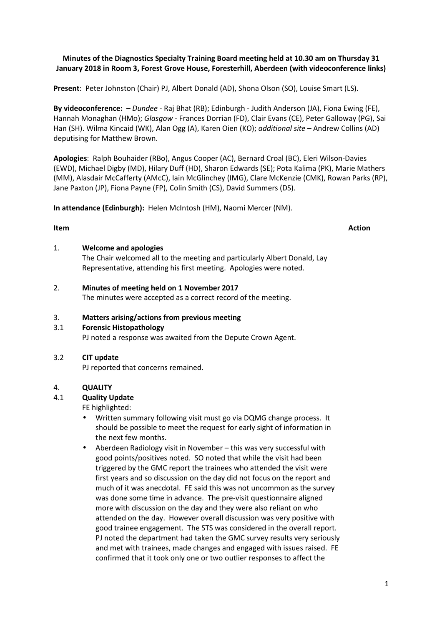# **Minutes of the Diagnostics Specialty Training Board meeting held at 10.30 am on Thursday 31 January 2018 in Room 3, Forest Grove House, Foresterhill, Aberdeen (with videoconference links)**

**Present**: Peter Johnston (Chair) PJ, Albert Donald (AD), Shona Olson (SO), Louise Smart (LS).

**By videoconference:** – *Dundee* - Raj Bhat (RB); Edinburgh - Judith Anderson (JA), Fiona Ewing (FE), Hannah Monaghan (HMo); *Glasgow -* Frances Dorrian (FD), Clair Evans (CE), Peter Galloway (PG), Sai Han (SH). Wilma Kincaid (WK), Alan Ogg (A), Karen Oien (KO); *additional site* – Andrew Collins (AD) deputising for Matthew Brown.

**Apologies**: Ralph Bouhaider (RBo), Angus Cooper (AC), Bernard Croal (BC), Eleri Wilson-Davies (EWD), Michael Digby (MD), Hilary Duff (HD), Sharon Edwards (SE); Pota Kalima (PK), Marie Mathers (MM), Alasdair McCafferty (AMcC), Iain McGlinchey (IMG), Clare McKenzie (CMK), Rowan Parks (RP), Jane Paxton (JP), Fiona Payne (FP), Colin Smith (CS), David Summers (DS).

**In attendance (Edinburgh):** Helen McIntosh (HM), Naomi Mercer (NM).

#### **Item Action**

1. **Welcome and apologies**

The Chair welcomed all to the meeting and particularly Albert Donald, Lay Representative, attending his first meeting. Apologies were noted.

2. **Minutes of meeting held on 1 November 2017**

The minutes were accepted as a correct record of the meeting.

# 3. **Matters arising/actions from previous meeting**

#### 3.1 **Forensic Histopathology**

PJ noted a response was awaited from the Depute Crown Agent.

# 3.2 **CIT update**

PJ reported that concerns remained.

# 4. **QUALITY**

# 4.1 **Quality Update**

FE highlighted:

- Written summary following visit must go via DQMG change process. It should be possible to meet the request for early sight of information in the next few months.
- Aberdeen Radiology visit in November this was very successful with good points/positives noted. SO noted that while the visit had been triggered by the GMC report the trainees who attended the visit were first years and so discussion on the day did not focus on the report and much of it was anecdotal. FE said this was not uncommon as the survey was done some time in advance. The pre-visit questionnaire aligned more with discussion on the day and they were also reliant on who attended on the day. However overall discussion was very positive with good trainee engagement. The STS was considered in the overall report. PJ noted the department had taken the GMC survey results very seriously and met with trainees, made changes and engaged with issues raised. FE confirmed that it took only one or two outlier responses to affect the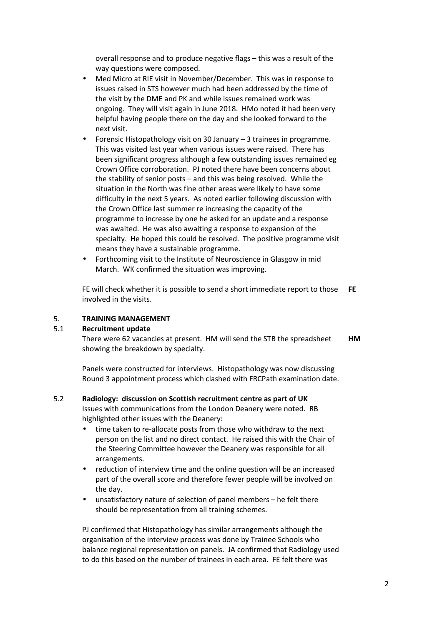overall response and to produce negative flags – this was a result of the way questions were composed.

- Med Micro at RIE visit in November/December. This was in response to issues raised in STS however much had been addressed by the time of the visit by the DME and PK and while issues remained work was ongoing. They will visit again in June 2018. HMo noted it had been very helpful having people there on the day and she looked forward to the next visit.
- Forensic Histopathology visit on 30 January 3 trainees in programme. This was visited last year when various issues were raised. There has been significant progress although a few outstanding issues remained eg Crown Office corroboration. PJ noted there have been concerns about the stability of senior posts – and this was being resolved. While the situation in the North was fine other areas were likely to have some difficulty in the next 5 years. As noted earlier following discussion with the Crown Office last summer re increasing the capacity of the programme to increase by one he asked for an update and a response was awaited. He was also awaiting a response to expansion of the specialty. He hoped this could be resolved. The positive programme visit means they have a sustainable programme.
- Forthcoming visit to the Institute of Neuroscience in Glasgow in mid March. WK confirmed the situation was improving.

FE will check whether it is possible to send a short immediate report to those involved in the visits. **FE**

# 5. **TRAINING MANAGEMENT**

# 5.1 **Recruitment update**

There were 62 vacancies at present. HM will send the STB the spreadsheet showing the breakdown by specialty. **HM**

Panels were constructed for interviews. Histopathology was now discussing Round 3 appointment process which clashed with FRCPath examination date.

# 5.2 **Radiology: discussion on Scottish recruitment centre as part of UK**

Issues with communications from the London Deanery were noted. RB highlighted other issues with the Deanery:

- time taken to re-allocate posts from those who withdraw to the next person on the list and no direct contact. He raised this with the Chair of the Steering Committee however the Deanery was responsible for all arrangements.
- reduction of interview time and the online question will be an increased part of the overall score and therefore fewer people will be involved on the day.
- unsatisfactory nature of selection of panel members he felt there should be representation from all training schemes.

PJ confirmed that Histopathology has similar arrangements although the organisation of the interview process was done by Trainee Schools who balance regional representation on panels. JA confirmed that Radiology used to do this based on the number of trainees in each area. FE felt there was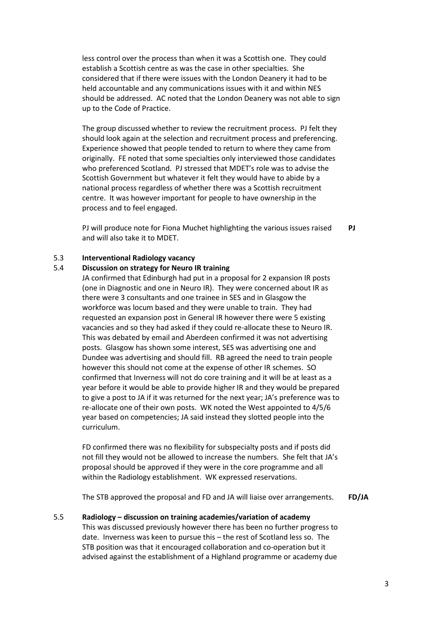less control over the process than when it was a Scottish one. They could establish a Scottish centre as was the case in other specialties. She considered that if there were issues with the London Deanery it had to be held accountable and any communications issues with it and within NES should be addressed. AC noted that the London Deanery was not able to sign up to the Code of Practice.

The group discussed whether to review the recruitment process. PJ felt they should look again at the selection and recruitment process and preferencing. Experience showed that people tended to return to where they came from originally. FE noted that some specialties only interviewed those candidates who preferenced Scotland. PJ stressed that MDET's role was to advise the Scottish Government but whatever it felt they would have to abide by a national process regardless of whether there was a Scottish recruitment centre. It was however important for people to have ownership in the process and to feel engaged.

PJ will produce note for Fiona Muchet highlighting the various issues raised and will also take it to MDET. **PJ** 

# 5.3 **Interventional Radiology vacancy**

# 5.4 **Discussion on strategy for Neuro IR training**

JA confirmed that Edinburgh had put in a proposal for 2 expansion IR posts (one in Diagnostic and one in Neuro IR). They were concerned about IR as there were 3 consultants and one trainee in SES and in Glasgow the workforce was locum based and they were unable to train. They had requested an expansion post in General IR however there were 5 existing vacancies and so they had asked if they could re-allocate these to Neuro IR. This was debated by email and Aberdeen confirmed it was not advertising posts. Glasgow has shown some interest, SES was advertising one and Dundee was advertising and should fill. RB agreed the need to train people however this should not come at the expense of other IR schemes. SO confirmed that Inverness will not do core training and it will be at least as a year before it would be able to provide higher IR and they would be prepared to give a post to JA if it was returned for the next year; JA's preference was to re-allocate one of their own posts. WK noted the West appointed to 4/5/6 year based on competencies; JA said instead they slotted people into the curriculum.

FD confirmed there was no flexibility for subspecialty posts and if posts did not fill they would not be allowed to increase the numbers. She felt that JA's proposal should be approved if they were in the core programme and all within the Radiology establishment. WK expressed reservations.

The STB approved the proposal and FD and JA will liaise over arrangements. **FD/JA**

## 5.5 **Radiology – discussion on training academies/variation of academy**

This was discussed previously however there has been no further progress to date. Inverness was keen to pursue this – the rest of Scotland less so. The STB position was that it encouraged collaboration and co-operation but it advised against the establishment of a Highland programme or academy due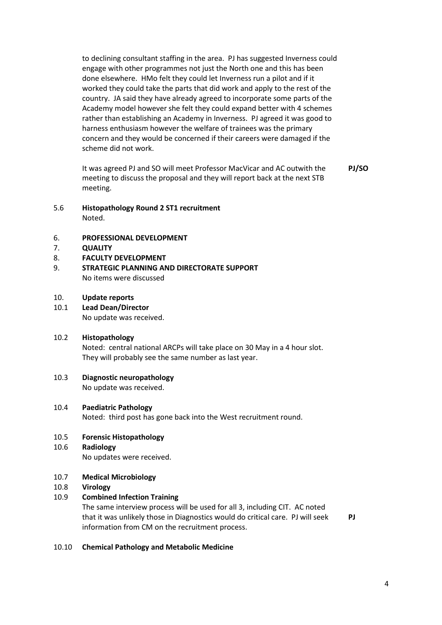to declining consultant staffing in the area. PJ has suggested Inverness could engage with other programmes not just the North one and this has been done elsewhere. HMo felt they could let Inverness run a pilot and if it worked they could take the parts that did work and apply to the rest of the country. JA said they have already agreed to incorporate some parts of the Academy model however she felt they could expand better with 4 schemes rather than establishing an Academy in Inverness. PJ agreed it was good to harness enthusiasm however the welfare of trainees was the primary concern and they would be concerned if their careers were damaged if the scheme did not work.

It was agreed PJ and SO will meet Professor MacVicar and AC outwith the meeting to discuss the proposal and they will report back at the next STB meeting. **PJ/SO** 

5.6 **Histopathology Round 2 ST1 recruitment**

Noted.

- 6. **PROFESSIONAL DEVELOPMENT**
- 7. **QUALITY**
- 8. **FACULTY DEVELOPMENT**
- 9. **STRATEGIC PLANNING AND DIRECTORATE SUPPORT** No items were discussed

# 10. **Update reports**

10.1 **Lead Dean/Director** No update was received.

# 10.2 **Histopathology** Noted: central national ARCPs will take place on 30 May in a 4 hour slot.

They will probably see the same number as last year.

# 10.3 **Diagnostic neuropathology**

No update was received.

# 10.4 **Paediatric Pathology**

Noted: third post has gone back into the West recruitment round.

#### 10.5 **Forensic Histopathology**

- 10.6 **Radiology** No updates were received.
- 10.7 **Medical Microbiology**
- 10.8 **Virology**

# 10.9 **Combined Infection Training**

The same interview process will be used for all 3, including CIT. AC noted that it was unlikely those in Diagnostics would do critical care. PJ will seek information from CM on the recruitment process.

**PJ** 

# 10.10 **Chemical Pathology and Metabolic Medicine**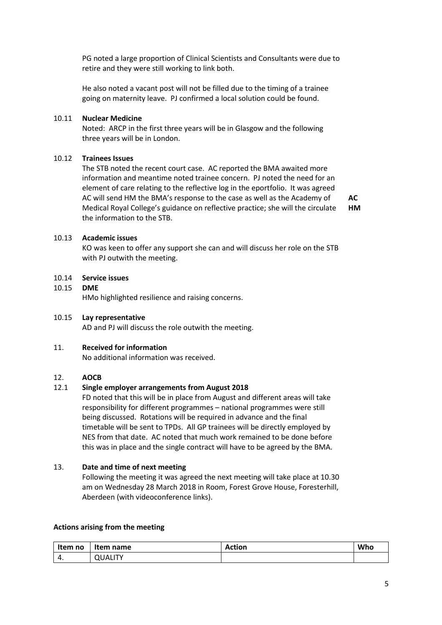PG noted a large proportion of Clinical Scientists and Consultants were due to retire and they were still working to link both.

He also noted a vacant post will not be filled due to the timing of a trainee going on maternity leave. PJ confirmed a local solution could be found.

# 10.11 **Nuclear Medicine**

Noted: ARCP in the first three years will be in Glasgow and the following three years will be in London.

# 10.12 **Trainees Issues**

The STB noted the recent court case. AC reported the BMA awaited more information and meantime noted trainee concern. PJ noted the need for an element of care relating to the reflective log in the eportfolio. It was agreed AC will send HM the BMA's response to the case as well as the Academy of Medical Royal College's guidance on reflective practice; she will the circulate the information to the STB. **HM** 

**AC** 

# 10.13 **Academic issues**

KO was keen to offer any support she can and will discuss her role on the STB with PJ outwith the meeting.

# 10.14 **Service issues**

10.15 **DME**

HMo highlighted resilience and raising concerns.

#### 10.15 **Lay representative**

AD and PJ will discuss the role outwith the meeting.

#### 11. **Received for information**

No additional information was received.

# 12. **AOCB**

# 12.1 **Single employer arrangements from August 2018**

FD noted that this will be in place from August and different areas will take responsibility for different programmes – national programmes were still being discussed. Rotations will be required in advance and the final timetable will be sent to TPDs. All GP trainees will be directly employed by NES from that date. AC noted that much work remained to be done before this was in place and the single contract will have to be agreed by the BMA.

#### 13. **Date and time of next meeting**

Following the meeting it was agreed the next meeting will take place at 10.30 am on Wednesday 28 March 2018 in Room, Forest Grove House, Foresterhill, Aberdeen (with videoconference links).

# **Actions arising from the meeting**

| Item no | Item name      | <b>Action</b> | Who |
|---------|----------------|---------------|-----|
| т.      | <b>QUALITY</b> |               |     |